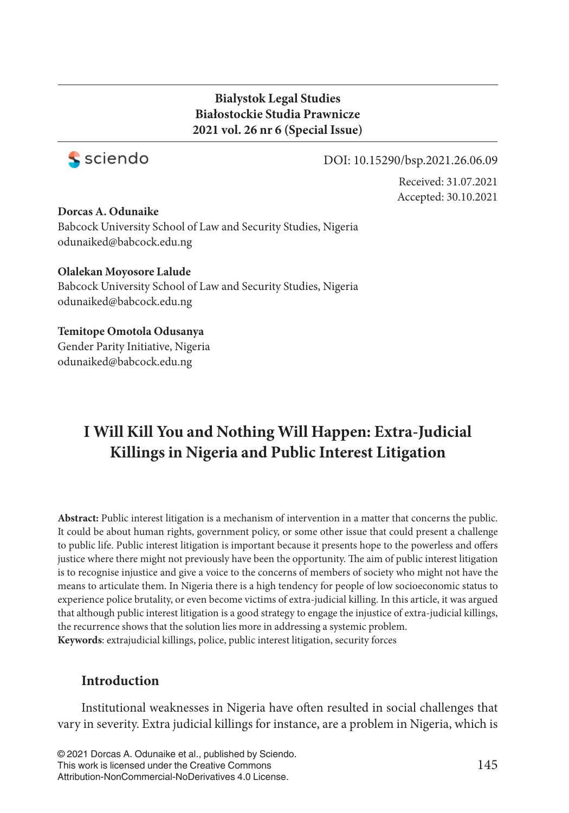## **Bialystok Legal Studies Białostockie Studia Prawnicze 2021 vol. 26 nr 6 (Special Issue)**



#### DOI: 10.15290/bsp.2021.26.06.09

Received: 31.07.2021 Accepted: 30.10.2021

#### **Dorcas A. Odunaike**

Babcock University School of Law and Security Studies, Nigeria odunaiked@babcock.edu.ng

#### **Olalekan Moyosore Lalude**

Babcock University School of Law and Security Studies, Nigeria odunaiked@babcock.edu.ng

# **Temitope Omotola Odusanya**

Gender Parity Initiative, Nigeria odunaiked@babcock.edu.ng

# **I Will Kill You and Nothing Will Happen: Extra-Judicial Killings in Nigeria and Public Interest Litigation**

**Abstract:** Public interest litigation is a mechanism of intervention in a matter that concerns the public. It could be about human rights, government policy, or some other issue that could present a challenge to public life. Public interest litigation is important because it presents hope to the powerless and offers justice where there might not previously have been the opportunity. The aim of public interest litigation is to recognise injustice and give a voice to the concerns of members of society who might not have the means to articulate them. In Nigeria there is a high tendency for people of low socioeconomic status to experience police brutality, or even become victims of extra-judicial killing. In this article, it was argued that although public interest litigation is a good strategy to engage the injustice of extra-judicial killings, the recurrence shows that the solution lies more in addressing a systemic problem. **Keywords**: extrajudicial killings, police, public interest litigation, security forces

## **Introduction**

Institutional weaknesses in Nigeria have often resulted in social challenges that vary in severity. Extra judicial killings for instance, are a problem in Nigeria, which is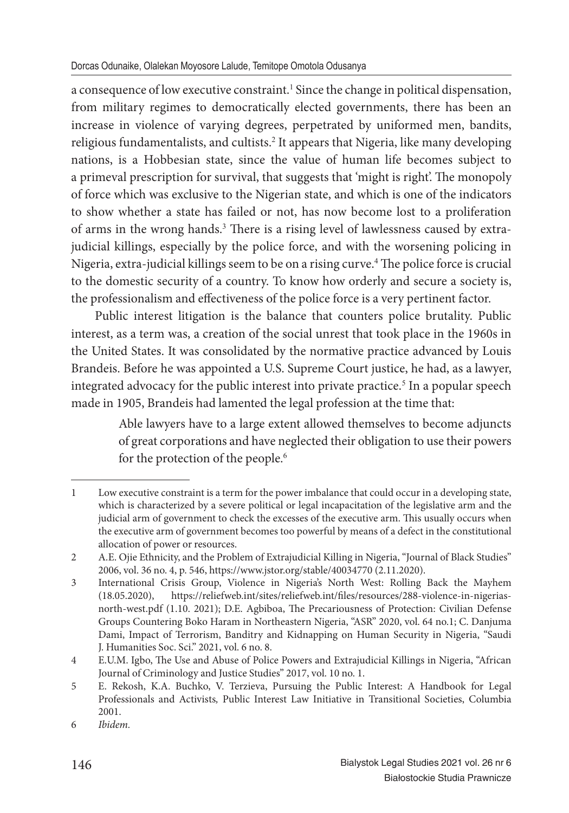a consequence of low executive constraint.<sup>1</sup> Since the change in political dispensation, from military regimes to democratically elected governments, there has been an increase in violence of varying degrees, perpetrated by uniformed men, bandits, religious fundamentalists, and cultists.<sup>2</sup> It appears that Nigeria, like many developing nations, is a Hobbesian state, since the value of human life becomes subject to a primeval prescription for survival, that suggests that 'might is right'. The monopoly of force which was exclusive to the Nigerian state, and which is one of the indicators to show whether a state has failed or not, has now become lost to a proliferation of arms in the wrong hands.<sup>3</sup> There is a rising level of lawlessness caused by extrajudicial killings, especially by the police force, and with the worsening policing in Nigeria, extra-judicial killings seem to be on a rising curve.<sup>4</sup> The police force is crucial to the domestic security of a country. To know how orderly and secure a society is, the professionalism and effectiveness of the police force is a very pertinent factor.

Public interest litigation is the balance that counters police brutality. Public interest, as a term was, a creation of the social unrest that took place in the 1960s in the United States. It was consolidated by the normative practice advanced by Louis Brandeis. Before he was appointed a U.S. Supreme Court justice, he had, as a lawyer, integrated advocacy for the public interest into private practice.<sup>5</sup> In a popular speech made in 1905, Brandeis had lamented the legal profession at the time that:

> Able lawyers have to a large extent allowed themselves to become adjuncts of great corporations and have neglected their obligation to use their powers for the protection of the people.<sup>6</sup>

<sup>1</sup> Low executive constraint is a term for the power imbalance that could occur in a developing state, which is characterized by a severe political or legal incapacitation of the legislative arm and the judicial arm of government to check the excesses of the executive arm. This usually occurs when the executive arm of government becomes too powerful by means of a defect in the constitutional allocation of power or resources.

<sup>2</sup> A.E. Ojie Ethnicity, and the Problem of Extrajudicial Killing in Nigeria, "Journal of Black Studies" 2006, vol. 36 no. 4, p. 546, https://www.jstor.org/stable/40034770 (2.11.2020).

<sup>3</sup> International Crisis Group, Violence in Nigeria's North West: Rolling Back the Mayhem (18.05.2020), https://reliefweb.int/sites/reliefweb.int/files/resources/288-violence-in-nigeriasnorth-west.pdf (1.10. 2021); D.E. Agbiboa, The Precariousness of Protection: Civilian Defense Groups Countering Boko Haram in Northeastern Nigeria, "ASR" 2020, vol. 64 no.1; C. Danjuma Dami, Impact of Terrorism, Banditry and Kidnapping on Human Security in Nigeria, "Saudi J. Humanities Soc. Sci." 2021, vol. 6 no. 8.

<sup>4</sup> E.U.M. Igbo, The Use and Abuse of Police Powers and Extrajudicial Killings in Nigeria, "African Journal of Criminology and Justice Studies" 2017, vol. 10 no. 1.

<sup>5</sup> E. Rekosh, K.A. Buchko, V. Terzieva, Pursuing the Public Interest: A Handbook for Legal Professionals and Activists*,* Public Interest Law Initiative in Transitional Societies, Columbia 2001.

<sup>6</sup> *Ibidem.*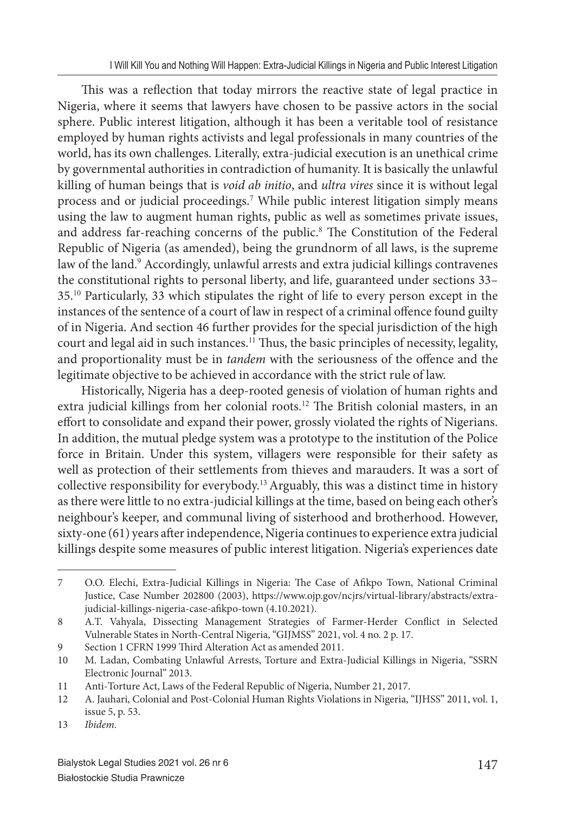This was a reflection that today mirrors the reactive state of legal practice in Nigeria, where it seems that lawyers have chosen to be passive actors in the social sphere. Public interest litigation, although it has been a veritable tool of resistance employed by human rights activists and legal professionals in many countries of the world, has its own challenges. Literally, extra-judicial execution is an unethical crime by governmental authorities in contradiction of humanity. It is basically the unlawful killing of human beings that is *void ab initio*, and *ultra vires* since it is without legal process and or judicial proceedings.<sup>7</sup> While public interest litigation simply means using the law to augment human rights, public as well as sometimes private issues, and address far-reaching concerns of the public.<sup>8</sup> The Constitution of the Federal Republic of Nigeria (as amended), being the grundnorm of all laws, is the supreme law of the land.<sup>9</sup> Accordingly, unlawful arrests and extra judicial killings contravenes the constitutional rights to personal liberty, and life, guaranteed under sections 33– 35.<sup>10</sup> Particularly, 33 which stipulates the right of life to every person except in the instances of the sentence of a court of law in respect of a criminal offence found guilty of in Nigeria. And section 46 further provides for the special jurisdiction of the high court and legal aid in such instances.<sup>11</sup> Thus, the basic principles of necessity, legality, and proportionality must be in *tandem* with the seriousness of the offence and the legitimate objective to be achieved in accordance with the strict rule of law.

Historically, Nigeria has a deep-rooted genesis of violation of human rights and extra judicial killings from her colonial roots.<sup>12</sup> The British colonial masters, in an effort to consolidate and expand their power, grossly violated the rights of Nigerians. In addition, the mutual pledge system was a prototype to the institution of the Police force in Britain. Under this system, villagers were responsible for their safety as well as protection of their settlements from thieves and marauders. It was a sort of collective responsibility for everybody.<sup>13</sup>Arguably, this was a distinct time in history as there were little to no extra-judicial killings at the time, based on being each other's neighbour's keeper, and communal living of sisterhood and brotherhood. However, sixty-one (61) years after independence, Nigeria continues to experience extra judicial killings despite some measures of public interest litigation. Nigeria's experiences date

<sup>7</sup> O.O. Elechi, Extra-Judicial Killings in Nigeria: The Case of Afikpo Town, National Criminal Justice, Case Number 202800 (2003), https://www.ojp.gov/ncjrs/virtual-library/abstracts/extrajudicial-killings-nigeria-case-afikpo-town (4.10.2021).

<sup>8</sup> A.T. Vahyala, Dissecting Management Strategies of Farmer-Herder Conflict in Selected Vulnerable States in North-Central Nigeria, "GIJMSS" 2021, vol. 4 no. 2 p. 17.

<sup>9</sup> Section 1 CFRN 1999 Third Alteration Act as amended 2011.

<sup>10</sup> M. Ladan, Combating Unlawful Arrests, Torture and Extra-Judicial Killings in Nigeria, "SSRN Electronic Journal" 2013.

<sup>11</sup> Anti-Torture Act, Laws of the Federal Republic of Nigeria, Number 21, 2017.

<sup>12</sup> A. Jauhari, Colonial and Post-Colonial Human Rights Violations in Nigeria, "IJHSS" 2011, vol. 1, issue 5, p. 53.

<sup>13</sup> *Ibidem.*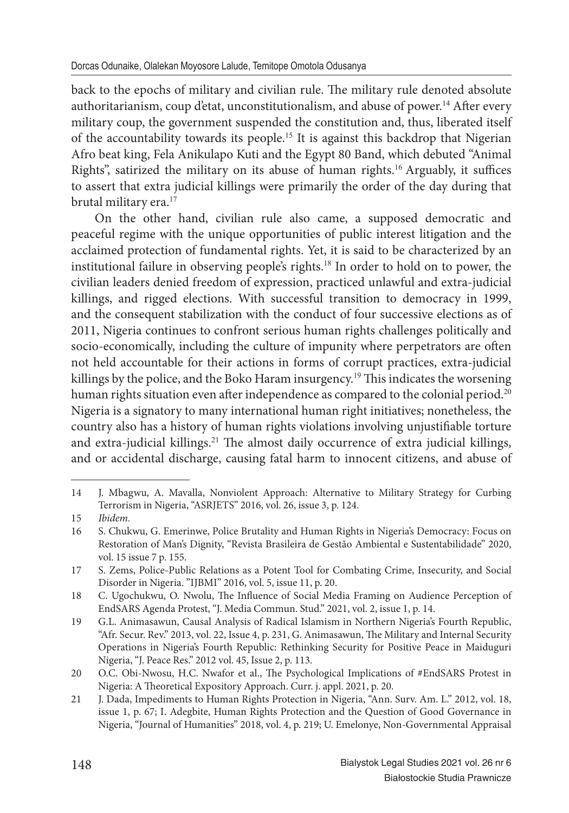back to the epochs of military and civilian rule. The military rule denoted absolute authoritarianism, coup d'etat, unconstitutionalism, and abuse of power.<sup>14</sup> After every military coup, the government suspended the constitution and, thus, liberated itself of the accountability towards its people.<sup>15</sup> It is against this backdrop that Nigerian Afro beat king, Fela Anikulapo Kuti and the Egypt 80 Band, which debuted "Animal Rights", satirized the military on its abuse of human rights.<sup>16</sup> Arguably, it suffices to assert that extra judicial killings were primarily the order of the day during that brutal military era.<sup>17</sup>

On the other hand, civilian rule also came, a supposed democratic and peaceful regime with the unique opportunities of public interest litigation and the acclaimed protection of fundamental rights. Yet, it is said to be characterized by an institutional failure in observing people's rights.<sup>18</sup> In order to hold on to power, the civilian leaders denied freedom of expression, practiced unlawful and extra-judicial killings, and rigged elections. With successful transition to democracy in 1999, and the consequent stabilization with the conduct of four successive elections as of 2011, Nigeria continues to confront serious human rights challenges politically and socio-economically, including the culture of impunity where perpetrators are often not held accountable for their actions in forms of corrupt practices, extra-judicial killings by the police, and the Boko Haram insurgency.<sup>19</sup> This indicates the worsening human rights situation even after independence as compared to the colonial period.<sup>20</sup> Nigeria is a signatory to many international human right initiatives; nonetheless, the country also has a history of human rights violations involving unjustifiable torture and extra-judicial killings.<sup>21</sup> The almost daily occurrence of extra judicial killings, and or accidental discharge, causing fatal harm to innocent citizens, and abuse of

<sup>14</sup> J. Mbagwu, A. Mavalla, Nonviolent Approach: Alternative to Military Strategy for Curbing Terrorism in Nigeria, "ASRJETS" 2016, vol. 26, issue 3, p. 124.

<sup>15</sup> *Ibidem.*

<sup>16</sup> S. Chukwu, G. Emerinwe, Police Brutality and Human Rights in Nigeria's Democracy: Focus on Restoration of Man's Dignity, "Revista Brasileira de Gestão Ambiental e Sustentabilidade" 2020, vol. 15 issue 7 p. 155.

<sup>17</sup> S. Zems, Police-Public Relations as a Potent Tool for Combating Crime, Insecurity, and Social Disorder in Nigeria. "IJBMI" 2016, vol. 5, issue 11, p. 20.

<sup>18</sup> C. Ugochukwu, O. Nwolu, The Influence of Social Media Framing on Audience Perception of EndSARS Agenda Protest, "J. Media Commun. Stud." 2021, vol. 2, issue 1, p. 14.

<sup>19</sup> G.L. Animasawun, Causal Analysis of Radical Islamism in Northern Nigeria's Fourth Republic, "Afr. Secur. Rev." 2013, vol. 22, Issue 4, p. 231, G. Animasawun, The Military and Internal Security Operations in Nigeria's Fourth Republic: Rethinking Security for Positive Peace in Maiduguri Nigeria, "J. Peace Res." 2012 vol. 45, Issue 2, p. 113.

<sup>20</sup> O.C. Obi-Nwosu, H.C. Nwafor et al., The Psychological Implications of #EndSARS Protest in Nigeria: A Theoretical Expository Approach. Curr. j. appl. 2021, p. 20.

<sup>21</sup> J. Dada, Impediments to Human Rights Protection in Nigeria, "Ann. Surv. Am. L." 2012, vol. 18, issue 1, p. 67; I. Adegbite, Human Rights Protection and the Question of Good Governance in Nigeria, "Journal of Humanities" 2018, vol. 4, p. 219; U. Emelonye, Non-Governmental Appraisal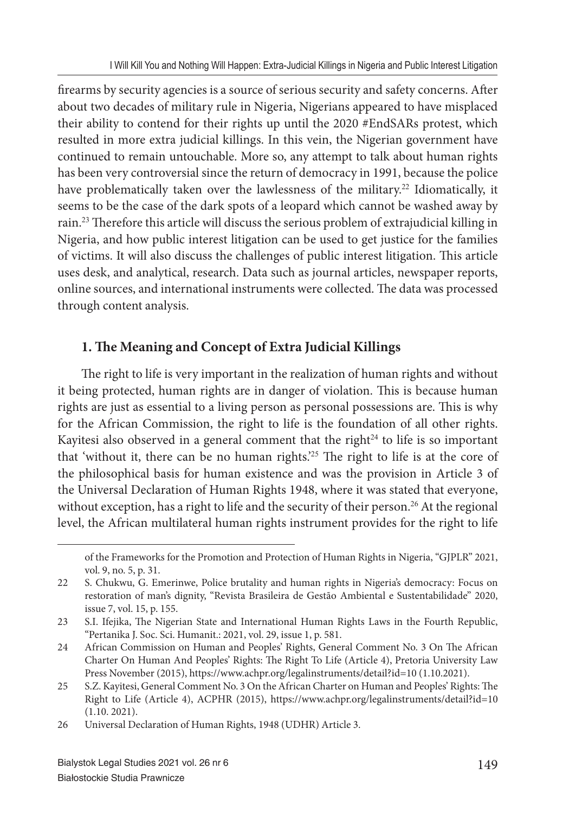firearms by security agencies is a source of serious security and safety concerns. After about two decades of military rule in Nigeria, Nigerians appeared to have misplaced their ability to contend for their rights up until the 2020 #EndSARs protest, which resulted in more extra judicial killings. In this vein, the Nigerian government have continued to remain untouchable. More so, any attempt to talk about human rights has been very controversial since the return of democracy in 1991, because the police have problematically taken over the lawlessness of the military.<sup>22</sup> Idiomatically, it seems to be the case of the dark spots of a leopard which cannot be washed away by rain.<sup>23</sup> Therefore this article will discuss the serious problem of extrajudicial killing in Nigeria, and how public interest litigation can be used to get justice for the families of victims. It will also discuss the challenges of public interest litigation. This article uses desk, and analytical, research. Data such as journal articles, newspaper reports, online sources, and international instruments were collected. The data was processed through content analysis.

## **1. The Meaning and Concept of Extra Judicial Killings**

The right to life is very important in the realization of human rights and without it being protected, human rights are in danger of violation. This is because human rights are just as essential to a living person as personal possessions are. This is why for the African Commission, the right to life is the foundation of all other rights. Kayitesi also observed in a general comment that the right $24$  to life is so important that 'without it, there can be no human rights.<sup>25</sup> The right to life is at the core of the philosophical basis for human existence and was the provision in Article 3 of the Universal Declaration of Human Rights 1948, where it was stated that everyone, without exception, has a right to life and the security of their person.<sup>26</sup> At the regional level, the African multilateral human rights instrument provides for the right to life

of the Frameworks for the Promotion and Protection of Human Rights in Nigeria, "GJPLR" 2021, vol. 9, no. 5, p. 31.

<sup>22</sup> S. Chukwu, G. Emerinwe, Police brutality and human rights in Nigeria's democracy: Focus on restoration of man's dignity, "Revista Brasileira de Gestão Ambiental e Sustentabilidade" 2020, issue 7, vol. 15, p. 155.

<sup>23</sup> S.I. Ifejika, The Nigerian State and International Human Rights Laws in the Fourth Republic, "Pertanika J. Soc. Sci. Humanit.: 2021, vol. 29, issue 1, p. 581.

<sup>24</sup> African Commission on Human and Peoples' Rights, General Comment No. 3 On The African Charter On Human And Peoples' Rights: The Right To Life (Article 4), Pretoria University Law Press November (2015), https://www.achpr.org/legalinstruments/detail?id=10 (1.10.2021).

<sup>25</sup> S.Z. Kayitesi, General Comment No. 3 On the African Charter on Human and Peoples' Rights: The Right to Life (Article 4), ACPHR (2015), https://www.achpr.org/legalinstruments/detail?id=10 (1.10. 2021).

<sup>26</sup> Universal Declaration of Human Rights, 1948 (UDHR) Article 3.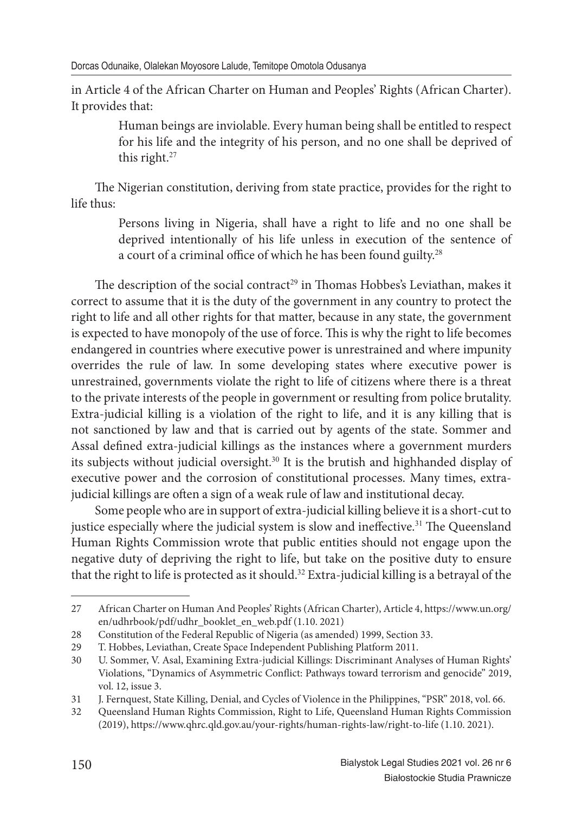in Article 4 of the African Charter on Human and Peoples' Rights (African Charter). It provides that:

> Human beings are inviolable. Every human being shall be entitled to respect for his life and the integrity of his person, and no one shall be deprived of this right. $27$

The Nigerian constitution, deriving from state practice, provides for the right to life thus:

> Persons living in Nigeria, shall have a right to life and no one shall be deprived intentionally of his life unless in execution of the sentence of a court of a criminal office of which he has been found guilty.<sup>28</sup>

The description of the social contract<sup>29</sup> in Thomas Hobbes's Leviathan, makes it correct to assume that it is the duty of the government in any country to protect the right to life and all other rights for that matter, because in any state, the government is expected to have monopoly of the use of force. This is why the right to life becomes endangered in countries where executive power is unrestrained and where impunity overrides the rule of law. In some developing states where executive power is unrestrained, governments violate the right to life of citizens where there is a threat to the private interests of the people in government or resulting from police brutality. Extra-judicial killing is a violation of the right to life, and it is any killing that is not sanctioned by law and that is carried out by agents of the state. Sommer and Assal defined extra-judicial killings as the instances where a government murders its subjects without judicial oversight.<sup>30</sup> It is the brutish and highhanded display of executive power and the corrosion of constitutional processes. Many times, extrajudicial killings are often a sign of a weak rule of law and institutional decay.

Some people who are in support of extra-judicial killing believe it is a short-cut to justice especially where the judicial system is slow and ineffective.<sup>31</sup> The Queensland Human Rights Commission wrote that public entities should not engage upon the negative duty of depriving the right to life, but take on the positive duty to ensure that the right to life is protected as it should.<sup>32</sup> Extra-judicial killing is a betrayal of the

<sup>27</sup> African Charter on Human And Peoples' Rights (African Charter), Article 4, https://www.un.org/ en/udhrbook/pdf/udhr\_booklet\_en\_web.pdf (1.10. 2021)

<sup>28</sup> Constitution of the Federal Republic of Nigeria (as amended) 1999, Section 33.

<sup>29</sup> T. Hobbes, Leviathan, Create Space Independent Publishing Platform 2011.

<sup>30</sup> U. Sommer, V. Asal, Examining Extra-judicial Killings: Discriminant Analyses of Human Rights' Violations, "Dynamics of Asymmetric Conflict: Pathways toward terrorism and genocide" 2019, vol. 12, issue 3.

<sup>31</sup> J. Fernquest, State Killing, Denial, and Cycles of Violence in the Philippines, "PSR" 2018, vol. 66.

<sup>32</sup> Queensland Human Rights Commission, Right to Life, Queensland Human Rights Commission (2019), https://www.qhrc.qld.gov.au/your-rights/human-rights-law/right-to-life (1.10. 2021).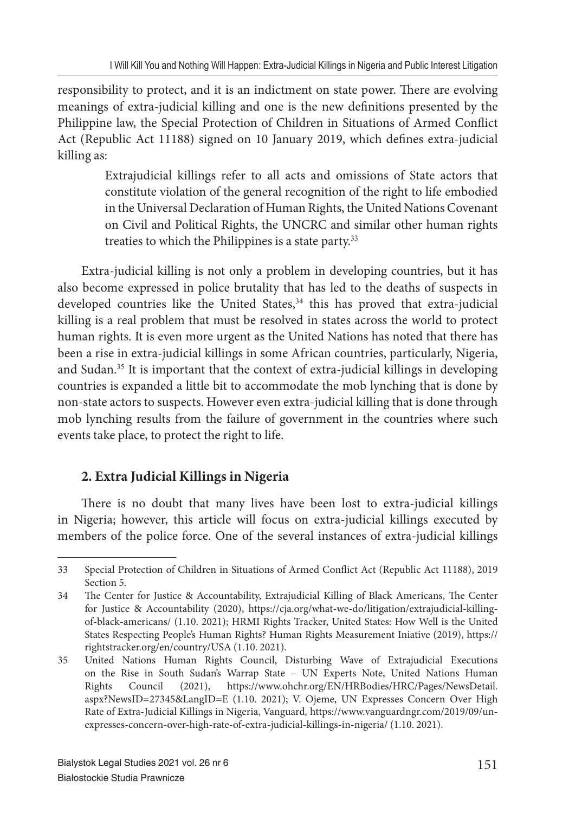responsibility to protect, and it is an indictment on state power. There are evolving meanings of extra-judicial killing and one is the new definitions presented by the Philippine law, the Special Protection of Children in Situations of Armed Conflict Act (Republic Act 11188) signed on 10 January 2019, which defines extra-judicial killing as:

> Extrajudicial killings refer to all acts and omissions of State actors that constitute violation of the general recognition of the right to life embodied in the Universal Declaration of Human Rights, the United Nations Covenant on Civil and Political Rights, the UNCRC and similar other human rights treaties to which the Philippines is a state party.<sup>33</sup>

Extra-judicial killing is not only a problem in developing countries, but it has also become expressed in police brutality that has led to the deaths of suspects in developed countries like the United States,<sup>34</sup> this has proved that extra-judicial killing is a real problem that must be resolved in states across the world to protect human rights. It is even more urgent as the United Nations has noted that there has been a rise in extra-judicial killings in some African countries, particularly, Nigeria, and Sudan.<sup>35</sup> It is important that the context of extra-judicial killings in developing countries is expanded a little bit to accommodate the mob lynching that is done by non-state actors to suspects. However even extra-judicial killing that is done through mob lynching results from the failure of government in the countries where such events take place, to protect the right to life.

# **2. Extra Judicial Killings in Nigeria**

There is no doubt that many lives have been lost to extra-judicial killings in Nigeria; however, this article will focus on extra-judicial killings executed by members of the police force. One of the several instances of extra-judicial killings

<sup>33</sup> Special Protection of Children in Situations of Armed Conflict Act (Republic Act 11188), 2019 Section 5.

<sup>34</sup> The Center for Justice & Accountability, Extrajudicial Killing of Black Americans, The Center for Justice & Accountability (2020), https://cja.org/what-we-do/litigation/extrajudicial-killingof-black-americans/ (1.10. 2021); HRMI Rights Tracker, United States: How Well is the United States Respecting People's Human Rights? Human Rights Measurement Iniative (2019), https:// rightstracker.org/en/country/USA (1.10. 2021).

<sup>35</sup> United Nations Human Rights Council, Disturbing Wave of Extrajudicial Executions on the Rise in South Sudan's Warrap State – UN Experts Note, United Nations Human Rights Council (2021), https://www.ohchr.org/EN/HRBodies/HRC/Pages/NewsDetail. aspx?NewsID=27345&LangID=E (1.10. 2021); V. Ojeme, UN Expresses Concern Over High Rate of Extra-Judicial Killings in Nigeria, Vanguard*,* https://www.vanguardngr.com/2019/09/unexpresses-concern-over-high-rate-of-extra-judicial-killings-in-nigeria/ (1.10. 2021).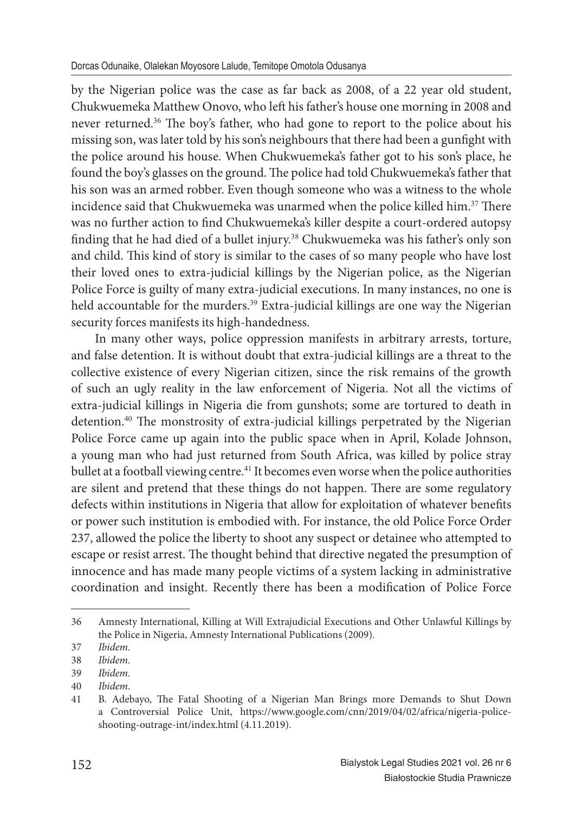by the Nigerian police was the case as far back as 2008, of a 22 year old student, Chukwuemeka Matthew Onovo, who left his father's house one morning in 2008 and never returned.<sup>36</sup> The boy's father, who had gone to report to the police about his missing son, was later told by his son's neighbours that there had been a gunfight with the police around his house. When Chukwuemeka's father got to his son's place, he found the boy's glasses on the ground. The police had told Chukwuemeka's father that his son was an armed robber. Even though someone who was a witness to the whole incidence said that Chukwuemeka was unarmed when the police killed him.<sup>37</sup> There was no further action to find Chukwuemeka's killer despite a court-ordered autopsy finding that he had died of a bullet injury.<sup>38</sup> Chukwuemeka was his father's only son and child. This kind of story is similar to the cases of so many people who have lost their loved ones to extra-judicial killings by the Nigerian police, as the Nigerian Police Force is guilty of many extra-judicial executions. In many instances, no one is held accountable for the murders.<sup>39</sup> Extra-judicial killings are one way the Nigerian security forces manifests its high-handedness.

In many other ways, police oppression manifests in arbitrary arrests, torture, and false detention. It is without doubt that extra-judicial killings are a threat to the collective existence of every Nigerian citizen, since the risk remains of the growth of such an ugly reality in the law enforcement of Nigeria. Not all the victims of extra-judicial killings in Nigeria die from gunshots; some are tortured to death in detention.<sup>40</sup> The monstrosity of extra-judicial killings perpetrated by the Nigerian Police Force came up again into the public space when in April, Kolade Johnson, a young man who had just returned from South Africa, was killed by police stray bullet at a football viewing centre.<sup>41</sup> It becomes even worse when the police authorities are silent and pretend that these things do not happen. There are some regulatory defects within institutions in Nigeria that allow for exploitation of whatever benefits or power such institution is embodied with. For instance, the old Police Force Order 237, allowed the police the liberty to shoot any suspect or detainee who attempted to escape or resist arrest. The thought behind that directive negated the presumption of innocence and has made many people victims of a system lacking in administrative coordination and insight. Recently there has been a modification of Police Force

<sup>36</sup> Amnesty International, Killing at Will Extrajudicial Executions and Other Unlawful Killings by the Police in Nigeria, Amnesty International Publications (2009).

<sup>37</sup> *Ibidem.*

<sup>38</sup> *Ibidem.*

<sup>39</sup> *Ibidem.*

<sup>40</sup> *Ibidem*.

<sup>41</sup> B. Adebayo, The Fatal Shooting of a Nigerian Man Brings more Demands to Shut Down a Controversial Police Unit, https://www.google.com/cnn/2019/04/02/africa/nigeria-policeshooting-outrage-int/index.html (4.11.2019).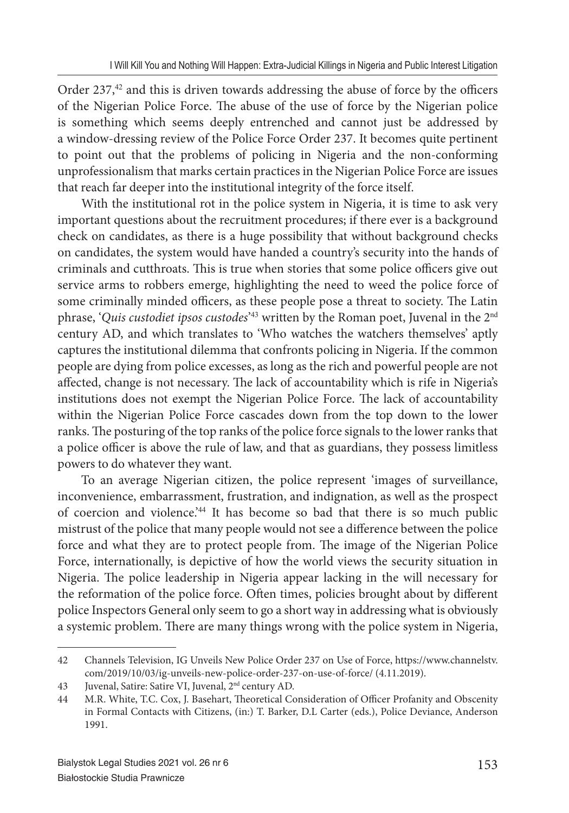Order 237,<sup>42</sup> and this is driven towards addressing the abuse of force by the officers of the Nigerian Police Force. The abuse of the use of force by the Nigerian police is something which seems deeply entrenched and cannot just be addressed by a window-dressing review of the Police Force Order 237. It becomes quite pertinent to point out that the problems of policing in Nigeria and the non-conforming unprofessionalism that marks certain practices in the Nigerian Police Force are issues that reach far deeper into the institutional integrity of the force itself.

With the institutional rot in the police system in Nigeria, it is time to ask very important questions about the recruitment procedures; if there ever is a background check on candidates, as there is a huge possibility that without background checks on candidates, the system would have handed a country's security into the hands of criminals and cutthroats. This is true when stories that some police officers give out service arms to robbers emerge, highlighting the need to weed the police force of some criminally minded officers, as these people pose a threat to society. The Latin phrase, '*Quis custodiet ipsos custodes'*<sup>43</sup> written by the Roman poet, Juvenal in the 2<sup>nd</sup> century AD, and which translates to 'Who watches the watchers themselves' aptly captures the institutional dilemma that confronts policing in Nigeria. If the common people are dying from police excesses, as long as the rich and powerful people are not affected, change is not necessary. The lack of accountability which is rife in Nigeria's institutions does not exempt the Nigerian Police Force. The lack of accountability within the Nigerian Police Force cascades down from the top down to the lower ranks. The posturing of the top ranks of the police force signals to the lower ranks that a police officer is above the rule of law, and that as guardians, they possess limitless powers to do whatever they want.

To an average Nigerian citizen, the police represent 'images of surveillance, inconvenience, embarrassment, frustration, and indignation, as well as the prospect of coercion and violence.'<sup>44</sup> It has become so bad that there is so much public mistrust of the police that many people would not see a difference between the police force and what they are to protect people from. The image of the Nigerian Police Force, internationally, is depictive of how the world views the security situation in Nigeria. The police leadership in Nigeria appear lacking in the will necessary for the reformation of the police force. Often times, policies brought about by different police Inspectors General only seem to go a short way in addressing what is obviously a systemic problem. There are many things wrong with the police system in Nigeria,

<sup>42</sup> Channels Television, IG Unveils New Police Order 237 on Use of Force, https://www.channelstv. com/2019/10/03/ig-unveils-new-police-order-237-on-use-of-force/ (4.11.2019).

<sup>43</sup> Juvenal, Satire: Satire VI, Juvenal, 2nd century AD.

<sup>44</sup> M.R. White, T.C. Cox, J. Basehart, Theoretical Consideration of Officer Profanity and Obscenity in Formal Contacts with Citizens, (in:) T. Barker, D.L Carter (eds.), Police Deviance, Anderson 1991.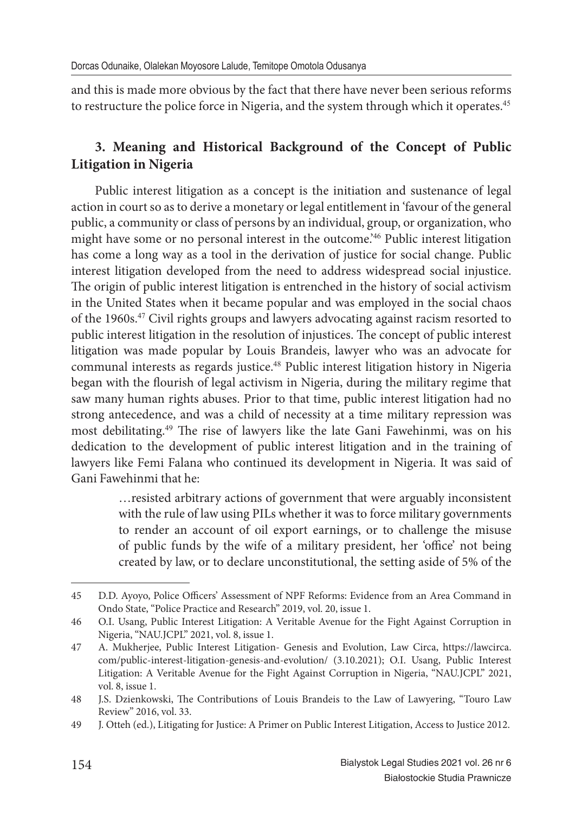and this is made more obvious by the fact that there have never been serious reforms to restructure the police force in Nigeria, and the system through which it operates.<sup>45</sup>

# **3. Meaning and Historical Background of the Concept of Public Litigation in Nigeria**

Public interest litigation as a concept is the initiation and sustenance of legal action in court so as to derive a monetary or legal entitlement in 'favour of the general public, a community or class of persons by an individual, group, or organization, who might have some or no personal interest in the outcome.'<sup>46</sup> Public interest litigation has come a long way as a tool in the derivation of justice for social change. Public interest litigation developed from the need to address widespread social injustice. The origin of public interest litigation is entrenched in the history of social activism in the United States when it became popular and was employed in the social chaos of the 1960s.<sup>47</sup> Civil rights groups and lawyers advocating against racism resorted to public interest litigation in the resolution of injustices. The concept of public interest litigation was made popular by Louis Brandeis, lawyer who was an advocate for communal interests as regards justice.<sup>48</sup> Public interest litigation history in Nigeria began with the flourish of legal activism in Nigeria, during the military regime that saw many human rights abuses. Prior to that time, public interest litigation had no strong antecedence, and was a child of necessity at a time military repression was most debilitating.<sup>49</sup> The rise of lawyers like the late Gani Fawehinmi, was on his dedication to the development of public interest litigation and in the training of lawyers like Femi Falana who continued its development in Nigeria. It was said of Gani Fawehinmi that he:

> …resisted arbitrary actions of government that were arguably inconsistent with the rule of law using PILs whether it was to force military governments to render an account of oil export earnings, or to challenge the misuse of public funds by the wife of a military president, her 'office' not being created by law, or to declare unconstitutional, the setting aside of 5% of the

<sup>45</sup> D.D. Ayoyo, Police Officers' Assessment of NPF Reforms: Evidence from an Area Command in Ondo State, "Police Practice and Research" 2019, vol. 20, issue 1.

<sup>46</sup> O.I. Usang, Public Interest Litigation: A Veritable Avenue for the Fight Against Corruption in Nigeria, "NAU.JCPL" 2021, vol. 8, issue 1.

<sup>47</sup> A. Mukherjee, Public Interest Litigation- Genesis and Evolution, Law Circa, https://lawcirca. com/public-interest-litigation-genesis-and-evolution/ (3.10.2021); O.I. Usang, Public Interest Litigation: A Veritable Avenue for the Fight Against Corruption in Nigeria, "NAU.JCPL" 2021, vol. 8, issue 1.

<sup>48</sup> J.S. Dzienkowski, The Contributions of Louis Brandeis to the Law of Lawyering, "Touro Law Review" 2016, vol. 33.

<sup>49</sup> J. Otteh (ed.), Litigating for Justice: A Primer on Public Interest Litigation, Access to Justice 2012.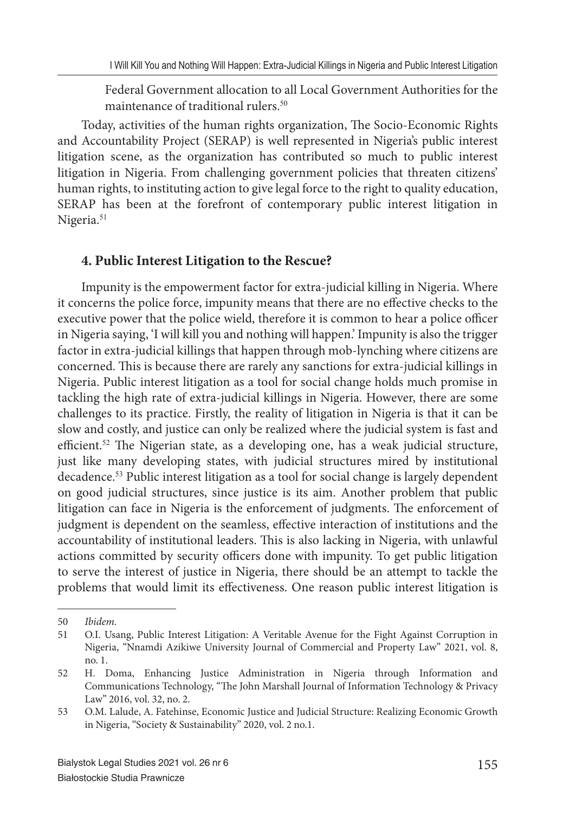Federal Government allocation to all Local Government Authorities for the maintenance of traditional rulers.<sup>50</sup>

Today, activities of the human rights organization, The Socio-Economic Rights and Accountability Project (SERAP) is well represented in Nigeria's public interest litigation scene, as the organization has contributed so much to public interest litigation in Nigeria. From challenging government policies that threaten citizens' human rights, to instituting action to give legal force to the right to quality education, SERAP has been at the forefront of contemporary public interest litigation in Nigeria.<sup>51</sup>

### **4. Public Interest Litigation to the Rescue?**

Impunity is the empowerment factor for extra-judicial killing in Nigeria. Where it concerns the police force, impunity means that there are no effective checks to the executive power that the police wield, therefore it is common to hear a police officer in Nigeria saying, 'I will kill you and nothing will happen.' Impunity is also the trigger factor in extra-judicial killings that happen through mob-lynching where citizens are concerned. This is because there are rarely any sanctions for extra-judicial killings in Nigeria. Public interest litigation as a tool for social change holds much promise in tackling the high rate of extra-judicial killings in Nigeria. However, there are some challenges to its practice. Firstly, the reality of litigation in Nigeria is that it can be slow and costly, and justice can only be realized where the judicial system is fast and efficient.<sup>52</sup> The Nigerian state, as a developing one, has a weak judicial structure, just like many developing states, with judicial structures mired by institutional decadence.<sup>53</sup> Public interest litigation as a tool for social change is largely dependent on good judicial structures, since justice is its aim. Another problem that public litigation can face in Nigeria is the enforcement of judgments. The enforcement of judgment is dependent on the seamless, effective interaction of institutions and the accountability of institutional leaders. This is also lacking in Nigeria, with unlawful actions committed by security officers done with impunity. To get public litigation to serve the interest of justice in Nigeria, there should be an attempt to tackle the problems that would limit its effectiveness. One reason public interest litigation is

<sup>50</sup> *Ibidem.*

<sup>51</sup> O.I. Usang, Public Interest Litigation: A Veritable Avenue for the Fight Against Corruption in Nigeria, "Nnamdi Azikiwe University Journal of Commercial and Property Law" 2021, vol. 8, no. 1.

<sup>52</sup> H. Doma, Enhancing Justice Administration in Nigeria through Information and Communications Technology, "The John Marshall Journal of Information Technology & Privacy Law" 2016, vol. 32, no. 2.

<sup>53</sup> O.M. Lalude, A. Fatehinse, Economic Justice and Judicial Structure: Realizing Economic Growth in Nigeria, "Society & Sustainability" 2020, vol. 2 no.1.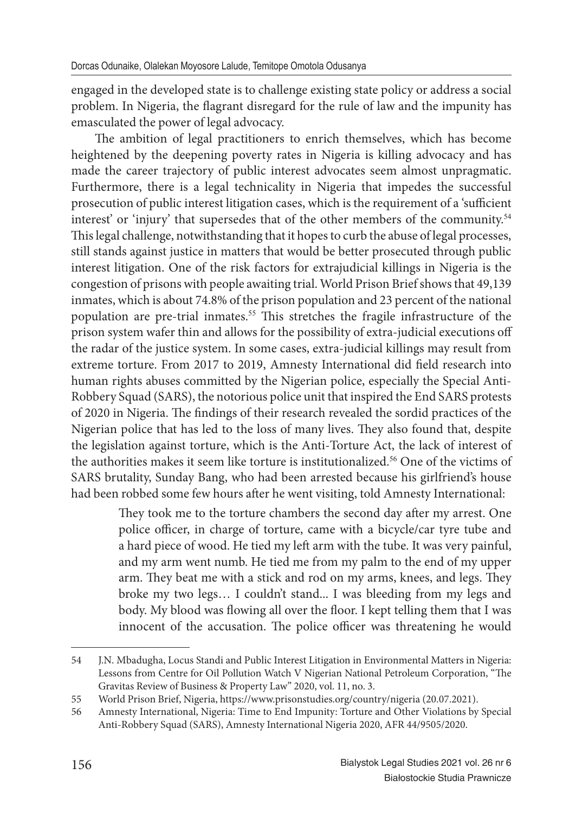engaged in the developed state is to challenge existing state policy or address a social problem. In Nigeria, the flagrant disregard for the rule of law and the impunity has emasculated the power of legal advocacy.

The ambition of legal practitioners to enrich themselves, which has become heightened by the deepening poverty rates in Nigeria is killing advocacy and has made the career trajectory of public interest advocates seem almost unpragmatic. Furthermore, there is a legal technicality in Nigeria that impedes the successful prosecution of public interest litigation cases, which is the requirement of a 'sufficient interest' or 'injury' that supersedes that of the other members of the community.<sup>54</sup> This legal challenge, notwithstanding that it hopes to curb the abuse of legal processes, still stands against justice in matters that would be better prosecuted through public interest litigation. One of the risk factors for extrajudicial killings in Nigeria is the congestion of prisons with people awaiting trial. World Prison Brief shows that 49,139 inmates, which is about 74.8% of the prison population and 23 percent of the national population are pre-trial inmates.<sup>55</sup> This stretches the fragile infrastructure of the prison system wafer thin and allows for the possibility of extra-judicial executions off the radar of the justice system. In some cases, extra-judicial killings may result from extreme torture. From 2017 to 2019, Amnesty International did field research into human rights abuses committed by the Nigerian police, especially the Special Anti-Robbery Squad (SARS), the notorious police unit that inspired the End SARS protests of 2020 in Nigeria. The findings of their research revealed the sordid practices of the Nigerian police that has led to the loss of many lives. They also found that, despite the legislation against torture, which is the Anti-Torture Act, the lack of interest of the authorities makes it seem like torture is institutionalized.<sup>56</sup> One of the victims of SARS brutality, Sunday Bang, who had been arrested because his girlfriend's house had been robbed some few hours after he went visiting, told Amnesty International:

> They took me to the torture chambers the second day after my arrest. One police officer, in charge of torture, came with a bicycle/car tyre tube and a hard piece of wood. He tied my left arm with the tube. It was very painful, and my arm went numb. He tied me from my palm to the end of my upper arm. They beat me with a stick and rod on my arms, knees, and legs. They broke my two legs… I couldn't stand... I was bleeding from my legs and body. My blood was flowing all over the floor. I kept telling them that I was innocent of the accusation. The police officer was threatening he would

<sup>54</sup> J.N. Mbadugha, Locus Standi and Public Interest Litigation in Environmental Matters in Nigeria: Lessons from Centre for Oil Pollution Watch V Nigerian National Petroleum Corporation, "The Gravitas Review of Business & Property Law" 2020, vol. 11, no. 3.

<sup>55</sup> World Prison Brief, Nigeria, https://www.prisonstudies.org/country/nigeria (20.07.2021).

<sup>56</sup> Amnesty International, Nigeria: Time to End Impunity: Torture and Other Violations by Special Anti-Robbery Squad (SARS), Amnesty International Nigeria 2020, AFR 44/9505/2020.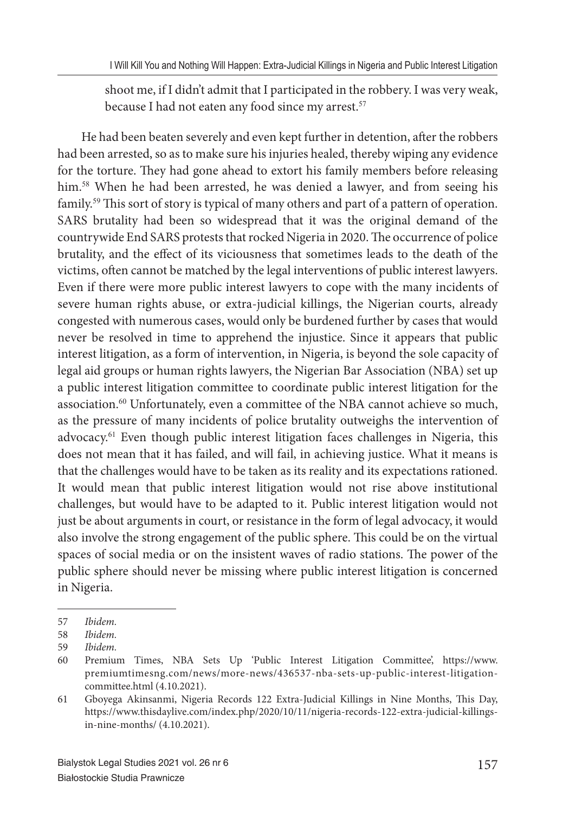shoot me, if I didn't admit that I participated in the robbery. I was very weak, because I had not eaten any food since my arrest.<sup>57</sup>

He had been beaten severely and even kept further in detention, after the robbers had been arrested, so as to make sure his injuries healed, thereby wiping any evidence for the torture. They had gone ahead to extort his family members before releasing him.<sup>58</sup> When he had been arrested, he was denied a lawyer, and from seeing his family.<sup>59</sup> This sort of story is typical of many others and part of a pattern of operation. SARS brutality had been so widespread that it was the original demand of the countrywide End SARS protests that rocked Nigeria in 2020. The occurrence of police brutality, and the effect of its viciousness that sometimes leads to the death of the victims, often cannot be matched by the legal interventions of public interest lawyers. Even if there were more public interest lawyers to cope with the many incidents of severe human rights abuse, or extra-judicial killings, the Nigerian courts, already congested with numerous cases, would only be burdened further by cases that would never be resolved in time to apprehend the injustice. Since it appears that public interest litigation, as a form of intervention, in Nigeria, is beyond the sole capacity of legal aid groups or human rights lawyers, the Nigerian Bar Association (NBA) set up a public interest litigation committee to coordinate public interest litigation for the association.<sup>60</sup> Unfortunately, even a committee of the NBA cannot achieve so much, as the pressure of many incidents of police brutality outweighs the intervention of advocacy.<sup>61</sup> Even though public interest litigation faces challenges in Nigeria, this does not mean that it has failed, and will fail, in achieving justice. What it means is that the challenges would have to be taken as its reality and its expectations rationed. It would mean that public interest litigation would not rise above institutional challenges, but would have to be adapted to it. Public interest litigation would not just be about arguments in court, or resistance in the form of legal advocacy, it would also involve the strong engagement of the public sphere. This could be on the virtual spaces of social media or on the insistent waves of radio stations. The power of the public sphere should never be missing where public interest litigation is concerned in Nigeria.

<sup>57</sup> *Ibidem.*

<sup>58</sup> *Ibidem.*

<sup>59</sup> *Ibidem.*

<sup>60</sup> Premium Times, NBA Sets Up 'Public Interest Litigation Committee', https://www. premiumtimesng.com/news/more-news/436537-nba-sets-up-public-interest-litigationcommittee.html (4.10.2021).

<sup>61</sup> Gboyega Akinsanmi, Nigeria Records 122 Extra-Judicial Killings in Nine Months, This Day, https://www.thisdaylive.com/index.php/2020/10/11/nigeria-records-122-extra-judicial-killingsin-nine-months/ (4.10.2021).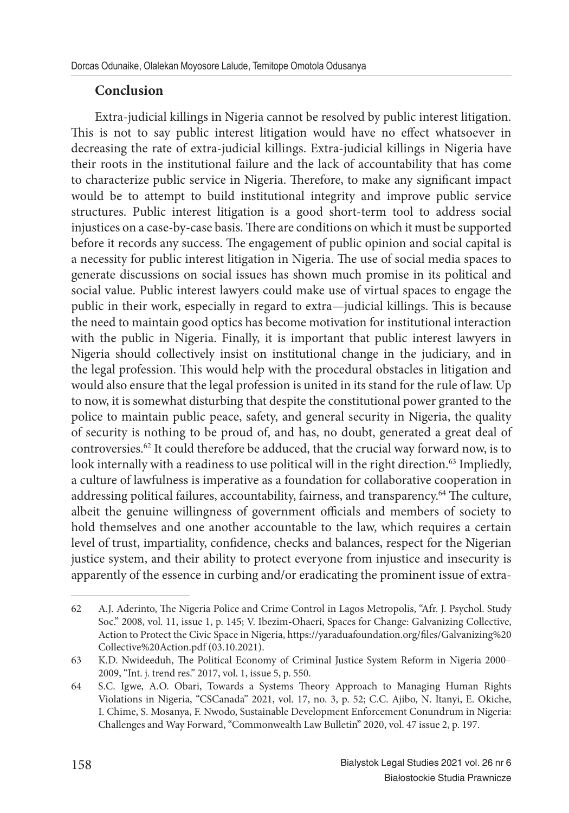## **Conclusion**

Extra-judicial killings in Nigeria cannot be resolved by public interest litigation. This is not to say public interest litigation would have no effect whatsoever in decreasing the rate of extra-judicial killings. Extra-judicial killings in Nigeria have their roots in the institutional failure and the lack of accountability that has come to characterize public service in Nigeria. Therefore, to make any significant impact would be to attempt to build institutional integrity and improve public service structures. Public interest litigation is a good short-term tool to address social injustices on a case-by-case basis. There are conditions on which it must be supported before it records any success. The engagement of public opinion and social capital is a necessity for public interest litigation in Nigeria. The use of social media spaces to generate discussions on social issues has shown much promise in its political and social value. Public interest lawyers could make use of virtual spaces to engage the public in their work, especially in regard to extra-judicial killings. This is because the need to maintain good optics has become motivation for institutional interaction with the public in Nigeria. Finally, it is important that public interest lawyers in Nigeria should collectively insist on institutional change in the judiciary, and in the legal profession. This would help with the procedural obstacles in litigation and would also ensure that the legal profession is united in its stand for the rule of law. Up to now, it is somewhat disturbing that despite the constitutional power granted to the police to maintain public peace, safety, and general security in Nigeria, the quality of security is nothing to be proud of, and has, no doubt, generated a great deal of controversies.<sup>62</sup> It could therefore be adduced, that the crucial way forward now, is to look internally with a readiness to use political will in the right direction.<sup>63</sup> Impliedly, a culture of lawfulness is imperative as a foundation for collaborative cooperation in addressing political failures, accountability, fairness, and transparency.<sup>64</sup> The culture, albeit the genuine willingness of government officials and members of society to hold themselves and one another accountable to the law, which requires a certain level of trust, impartiality, confidence, checks and balances, respect for the Nigerian justice system, and their ability to protect everyone from injustice and insecurity is apparently of the essence in curbing and/or eradicating the prominent issue of extra-

<sup>62</sup> A.J. Aderinto, The Nigeria Police and Crime Control in Lagos Metropolis, "Afr. J. Psychol. Study Soc." 2008, vol. 11, issue 1, p. 145; V. Ibezim-Ohaeri, Spaces for Change: Galvanizing Collective, Action to Protect the Civic Space in Nigeria, https://yaraduafoundation.org/files/Galvanizing%20 Collective%20Action.pdf (03.10.2021).

<sup>63</sup> K.D. Nwideeduh, The Political Economy of Criminal Justice System Reform in Nigeria 2000– 2009, "Int. j. trend res." 2017, vol. 1, issue 5, p. 550.

<sup>64</sup> S.C. Igwe, A.O. Obari, Towards a Systems Theory Approach to Managing Human Rights Violations in Nigeria, "CSCanada" 2021, vol. 17, no. 3, p. 52; C.C. Ajibo, N. Itanyi, E. Okiche, I. Chime, S. Mosanya, F. Nwodo, Sustainable Development Enforcement Conundrum in Nigeria: Challenges and Way Forward, "Commonwealth Law Bulletin" 2020, vol. 47 issue 2, p. 197.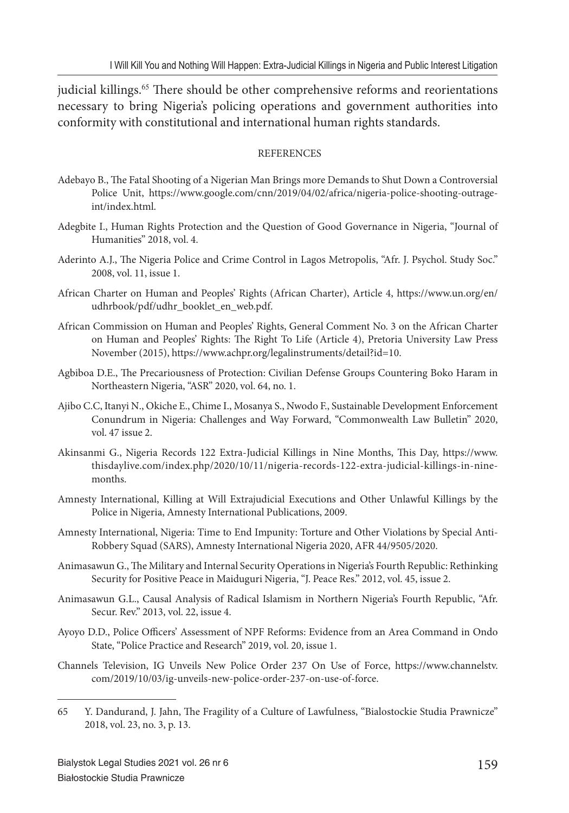judicial killings.<sup>65</sup> There should be other comprehensive reforms and reorientations necessary to bring Nigeria's policing operations and government authorities into conformity with constitutional and international human rights standards.

#### **REFERENCES**

- Adebayo B., The Fatal Shooting of a Nigerian Man Brings more Demands to Shut Down a Controversial Police Unit, https://www.google.com/cnn/2019/04/02/africa/nigeria-police-shooting-outrageint/index.html.
- Adegbite I., Human Rights Protection and the Question of Good Governance in Nigeria, "Journal of Humanities" 2018, vol. 4.
- Aderinto A.J., The Nigeria Police and Crime Control in Lagos Metropolis, "Afr. J. Psychol. Study Soc." 2008, vol. 11, issue 1.
- African Charter on Human and Peoples' Rights (African Charter), Article 4, https://www.un.org/en/ udhrbook/pdf/udhr\_booklet\_en\_web.pdf.
- African Commission on Human and Peoples' Rights, General Comment No. 3 on the African Charter on Human and Peoples' Rights: The Right To Life (Article 4), Pretoria University Law Press November (2015), https://www.achpr.org/legalinstruments/detail?id=10.
- Agbiboa D.E., The Precariousness of Protection: Civilian Defense Groups Countering Boko Haram in Northeastern Nigeria, "ASR" 2020, vol. 64, no. 1.
- Ajibo C.C, Itanyi N., Okiche E., Chime I., Mosanya S., Nwodo F., Sustainable Development Enforcement Conundrum in Nigeria: Challenges and Way Forward, "Commonwealth Law Bulletin" 2020, vol. 47 issue 2.
- Akinsanmi G., Nigeria Records 122 Extra-Judicial Killings in Nine Months, This Day, https://www. thisdaylive.com/index.php/2020/10/11/nigeria-records-122-extra-judicial-killings-in-ninemonths.
- Amnesty International, Killing at Will Extrajudicial Executions and Other Unlawful Killings by the Police in Nigeria, Amnesty International Publications, 2009.
- Amnesty International, Nigeria: Time to End Impunity: Torture and Other Violations by Special Anti-Robbery Squad (SARS), Amnesty International Nigeria 2020, AFR 44/9505/2020.
- Animasawun G., The Military and Internal Security Operations in Nigeria's Fourth Republic: Rethinking Security for Positive Peace in Maiduguri Nigeria, "J. Peace Res." 2012, vol. 45, issue 2.
- Animasawun G.L., Causal Analysis of Radical Islamism in Northern Nigeria's Fourth Republic, "Afr. Secur. Rev." 2013, vol. 22, issue 4.
- Ayoyo D.D., Police Officers' Assessment of NPF Reforms: Evidence from an Area Command in Ondo State, "Police Practice and Research" 2019, vol. 20, issue 1.
- Channels Television, IG Unveils New Police Order 237 On Use of Force, https://www.channelstv. com/2019/10/03/ig-unveils-new-police-order-237-on-use-of-force.

<sup>65</sup> Y. Dandurand, J. Jahn, The Fragility of a Culture of Lawfulness, "Bialostockie Studia Prawnicze" 2018, vol. 23, no. 3, p. 13.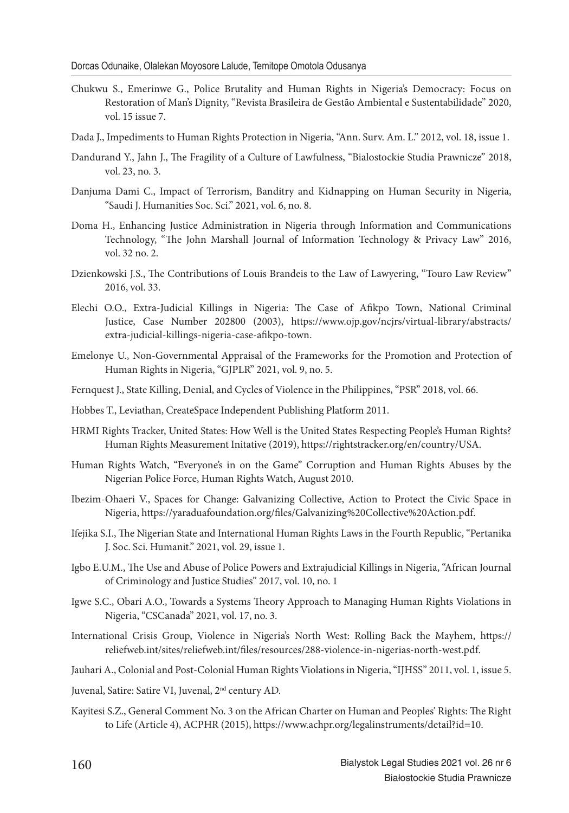- Chukwu S., Emerinwe G., Police Brutality and Human Rights in Nigeria's Democracy: Focus on Restoration of Man's Dignity, "Revista Brasileira de Gestão Ambiental e Sustentabilidade" 2020, vol. 15 issue 7.
- Dada J., Impediments to Human Rights Protection in Nigeria, "Ann. Surv. Am. L." 2012, vol. 18, issue 1.
- Dandurand Y., Jahn J., The Fragility of a Culture of Lawfulness, "Bialostockie Studia Prawnicze" 2018, vol. 23, no. 3.
- Danjuma Dami C., Impact of Terrorism, Banditry and Kidnapping on Human Security in Nigeria, "Saudi J. Humanities Soc. Sci." 2021, vol. 6, no. 8.
- Doma H., Enhancing Justice Administration in Nigeria through Information and Communications Technology, "The John Marshall Journal of Information Technology & Privacy Law" 2016, vol. 32 no. 2.
- Dzienkowski J.S., The Contributions of Louis Brandeis to the Law of Lawyering, "Touro Law Review" 2016, vol. 33.
- Elechi O.O., Extra-Judicial Killings in Nigeria: The Case of Afikpo Town, National Criminal Justice, Case Number 202800 (2003), https://www.ojp.gov/ncjrs/virtual-library/abstracts/ extra-judicial-killings-nigeria-case-afikpo-town.
- Emelonye U., Non-Governmental Appraisal of the Frameworks for the Promotion and Protection of Human Rights in Nigeria, "GJPLR" 2021, vol. 9, no. 5.
- Fernquest J., State Killing, Denial, and Cycles of Violence in the Philippines, "PSR" 2018, vol. 66.
- Hobbes T., Leviathan, CreateSpace Independent Publishing Platform 2011.
- HRMI Rights Tracker, United States: How Well is the United States Respecting People's Human Rights? Human Rights Measurement Initative (2019), https://rightstracker.org/en/country/USA.
- Human Rights Watch, "Everyone's in on the Game" Corruption and Human Rights Abuses by the Nigerian Police Force, Human Rights Watch, August 2010.
- Ibezim-Ohaeri V., Spaces for Change: Galvanizing Collective, Action to Protect the Civic Space in Nigeria, https://yaraduafoundation.org/fi les/Galvanizing%20Collective%20Action.pdf.
- Ifejika S.I., The Nigerian State and International Human Rights Laws in the Fourth Republic, "Pertanika J. Soc. Sci. Humanit." 2021, vol. 29, issue 1.
- Igbo E.U.M., The Use and Abuse of Police Powers and Extrajudicial Killings in Nigeria, "African Journal of Criminology and Justice Studies" 2017, vol. 10, no. 1
- Igwe S.C., Obari A.O., Towards a Systems Theory Approach to Managing Human Rights Violations in Nigeria, "CSCanada" 2021, vol. 17, no. 3.
- International Crisis Group, Violence in Nigeria's North West: Rolling Back the Mayhem, https:// reliefweb.int/sites/reliefweb.int/files/resources/288-violence-in-nigerias-north-west.pdf.
- Jauhari A., Colonial and Post-Colonial Human Rights Violations in Nigeria, "IJHSS" 2011, vol. 1, issue 5.
- Juvenal, Satire: Satire VI, Juvenal, 2nd century AD.
- Kayitesi S.Z., General Comment No. 3 on the African Charter on Human and Peoples' Rights: The Right to Life (Article 4), ACPHR (2015), https://www.achpr.org/legalinstruments/detail?id=10.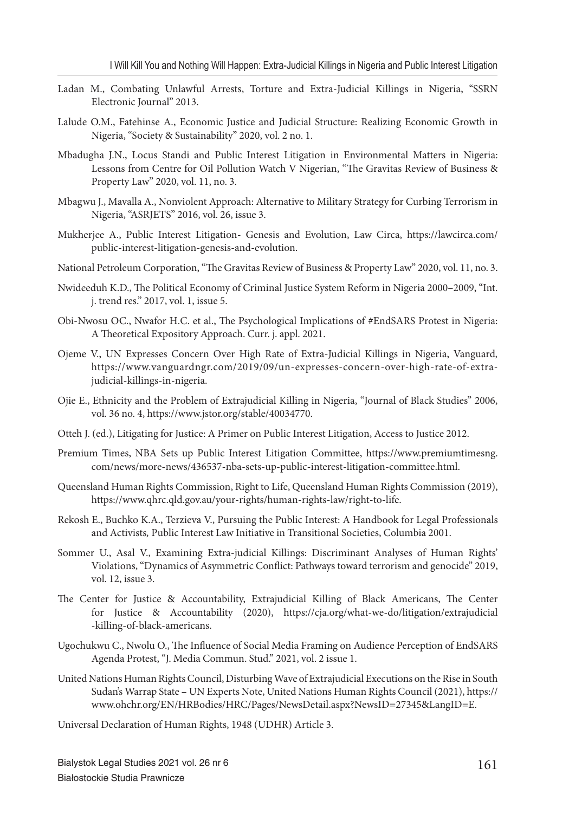- Ladan M., Combating Unlawful Arrests, Torture and Extra-Judicial Killings in Nigeria, "SSRN Electronic Journal" 2013.
- Lalude O.M., Fatehinse A., Economic Justice and Judicial Structure: Realizing Economic Growth in Nigeria, "Society & Sustainability" 2020, vol. 2 no. 1.
- Mbadugha J.N., Locus Standi and Public Interest Litigation in Environmental Matters in Nigeria: Lessons from Centre for Oil Pollution Watch V Nigerian, "The Gravitas Review of Business & Property Law" 2020, vol. 11, no. 3.
- Mbagwu J., Mavalla A., Nonviolent Approach: Alternative to Military Strategy for Curbing Terrorism in Nigeria, "ASRJETS" 2016, vol. 26, issue 3.
- Mukherjee A., Public Interest Litigation- Genesis and Evolution, Law Circa, https://lawcirca.com/ public-interest-litigation-genesis-and-evolution.
- National Petroleum Corporation, "The Gravitas Review of Business & Property Law" 2020, vol. 11, no. 3.
- Nwideeduh K.D., The Political Economy of Criminal Justice System Reform in Nigeria 2000–2009, "Int. j. trend res." 2017, vol. 1, issue 5.
- Obi-Nwosu OC., Nwafor H.C. et al., The Psychological Implications of #EndSARS Protest in Nigeria: A Theoretical Expository Approach. Curr. j. appl. 2021.
- Ojeme V., UN Expresses Concern Over High Rate of Extra-Judicial Killings in Nigeria, Vanguard*,*  https://www.vanguardngr.com/2019/09/un-expresses-concern-over-high-rate-of-extrajudicial-killings-in-nigeria.
- Ojie E., Ethnicity and the Problem of Extrajudicial Killing in Nigeria, "Journal of Black Studies" 2006, vol. 36 no. 4, https://www.jstor.org/stable/40034770.
- Otteh J. (ed.), Litigating for Justice: A Primer on Public Interest Litigation, Access to Justice 2012.
- Premium Times, NBA Sets up Public Interest Litigation Committee, https://www.premiumtimesng. com/news/more-news/436537-nba-sets-up-public-interest-litigation-committee.html.
- Queensland Human Rights Commission, Right to Life, Queensland Human Rights Commission (2019), https://www.qhrc.qld.gov.au/your-rights/human-rights-law/right-to-life.
- Rekosh E., Buchko K.A., Terzieva V., Pursuing the Public Interest: A Handbook for Legal Professionals and Activists*,* Public Interest Law Initiative in Transitional Societies, Columbia 2001.
- Sommer U., Asal V., Examining Extra-judicial Killings: Discriminant Analyses of Human Rights' Violations, "Dynamics of Asymmetric Conflict: Pathways toward terrorism and genocide" 2019, vol. 12, issue 3.
- The Center for Justice & Accountability, Extrajudicial Killing of Black Americans, The Center for Justice & Accountability (2020), https://cja.org/what-we-do/litigation/extrajudicial -killing-of-black-americans.
- Ugochukwu C., Nwolu O., The Influence of Social Media Framing on Audience Perception of EndSARS Agenda Protest, "J. Media Commun. Stud." 2021, vol. 2 issue 1.
- United Nations Human Rights Council, Disturbing Wave of Extrajudicial Executions on the Rise in South Sudan's Warrap State – UN Experts Note, United Nations Human Rights Council (2021), https:// www.ohchr.org/EN/HRBodies/HRC/Pages/NewsDetail.aspx?NewsID=27345&LangID=E.

Universal Declaration of Human Rights, 1948 (UDHR) Article 3.